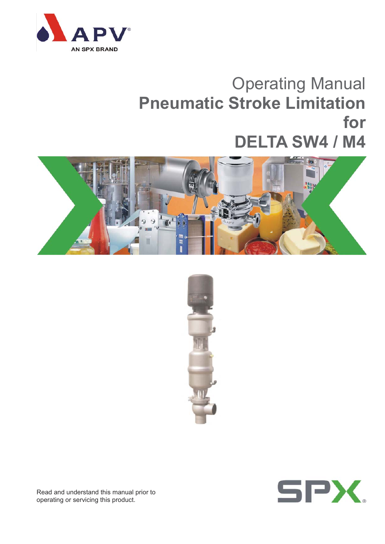

## Operating Manual **Pneumatic Stroke Limitation for DELTA SW4 / M4**







Read and understand this manual prior to operating or servicing this product.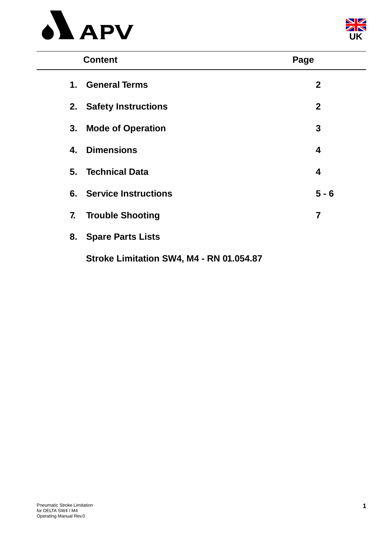



| <b>Content</b>                           | Page         |
|------------------------------------------|--------------|
| <b>General Terms</b><br>1.               | $\mathbf{2}$ |
| 2. Safety Instructions                   | $\mathbf{2}$ |
| <b>Mode of Operation</b><br>3.           | 3            |
| <b>Dimensions</b><br>4.                  | 4            |
| 5. Technical Data                        | 4            |
| <b>6.</b> Service Instructions           | $5 - 6$      |
| 7.<br><b>Trouble Shooting</b>            | 7            |
| <b>Spare Parts Lists</b><br>8.           |              |
| Stroke Limitation SW4, M4 - RN 01.054.87 |              |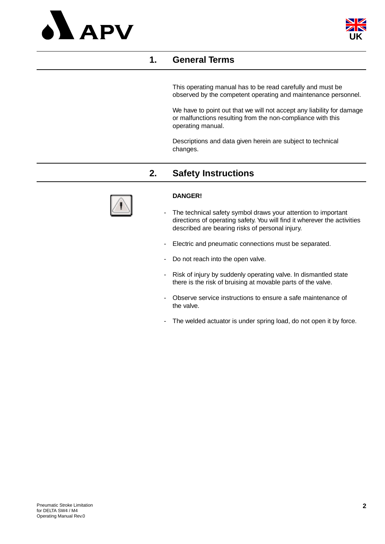



## **1. General Terms**

This operating manual has to be read carefully and must be observed by the competent operating and maintenance personnel.

We have to point out that we will not accept any liability for damage or malfunctions resulting from the non-compliance with this operating manual.

Descriptions and data given herein are subject to technical changes.

## **2. Safety Instructions**



#### **DANGER!**

- The technical safety symbol draws your attention to important directions of operating safety. You will find it wherever the activities described are bearing risks of personal injury.
- Electric and pneumatic connections must be separated.
- Do not reach into the open valve.
- Risk of injury by suddenly operating valve. In dismantled state there is the risk of bruising at movable parts of the valve.
- Observe service instructions to ensure a safe maintenance of the valve.
- The welded actuator is under spring load, do not open it by force.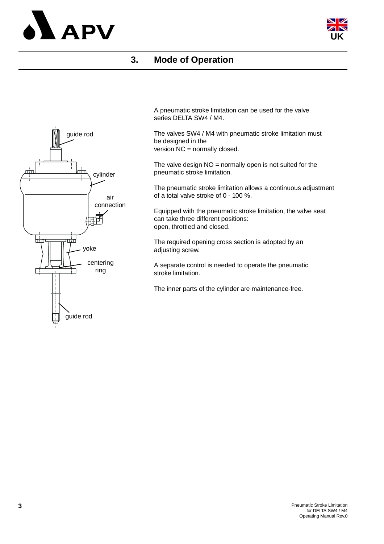



## **3. Mode of Operation**



A pneumatic stroke limitation can be used for the valve series DELTA SW4 / M4.

The valves SW4 / M4 with pneumatic stroke limitation must be designed in the version NC = normally closed.

The valve design  $NO =$  normally open is not suited for the pneumatic stroke limitation.

The pneumatic stroke limitation allows a continuous adjustment of a total valve stroke of 0 - 100 %.

Equipped with the pneumatic stroke limitation, the valve seat can take three different positions: open, throttled and closed.

The required opening cross section is adopted by an adjusting screw.

A separate control is needed to operate the pneumatic stroke limitation.

The inner parts of the cylinder are maintenance-free.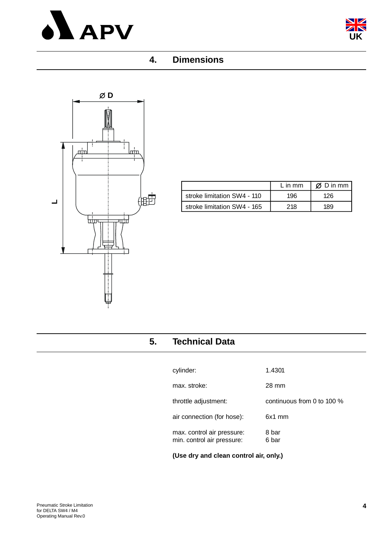



## **4. Dimensions**



|                             | $L$ in mm | $\emptyset$ D in mm |
|-----------------------------|-----------|---------------------|
| stroke limitation SW4 - 110 | 196       | 126                 |
| stroke limitation SW4 - 165 | 218       | 189                 |

## **5. Technical Data**

| (Use dry and clean control air, only.)                   |                              |
|----------------------------------------------------------|------------------------------|
| max. control air pressure:<br>min. control air pressure: | 8 bar<br>6 bar               |
| air connection (for hose):                               | 6x1 mm                       |
| throttle adjustment:                                     | continuous from 0 to 100 $%$ |
| max. stroke:                                             | 28 mm                        |
| cylinder:                                                | 1.4301                       |
|                                                          |                              |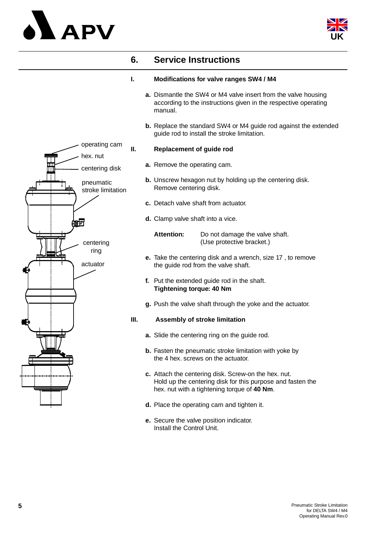# **APV**



## **6. Service Instructions**

#### **I. Modifications for valve ranges SW4 / M4**

- **a.** Dismantle the SW4 or M4 valve insert from the valve housing according to the instructions given in the respective operating manual.
- **b.** Replace the standard SW4 or M4 guide rod against the extended guide rod to install the stroke limitation.

#### **II. Replacement of guide rod**

- **a.** Remove the operating cam.
- **b.** Unscrew hexagon nut by holding up the centering disk. Remove centering disk.
- **c.** Detach valve shaft from actuator.
- **d.** Clamp valve shaft into a vice.

**Attention:** Do not damage the valve shaft. (Use protective bracket.)

- **e.** Take the centering disk and a wrench, size 17 , to remove the guide rod from the valve shaft.
- **f.** Put the extended guide rod in the shaft. **Tightening torque: 40 Nm**
- **g.** Push the valve shaft through the yoke and the actuator.

#### **III. Assembly of stroke limitation**

- **a.** Slide the centering ring on the guide rod.
- **b.** Fasten the pneumatic stroke limitation with yoke by the 4 hex. screws on the actuator.
- **c.** Attach the centering disk. Screw-on the hex. nut. Hold up the centering disk for this purpose and fasten the hex. nut with a tightening torque of **40 Nm**.
- **d.** Place the operating cam and tighten it.
- **e.** Secure the valve position indicator. Install the Control Unit.

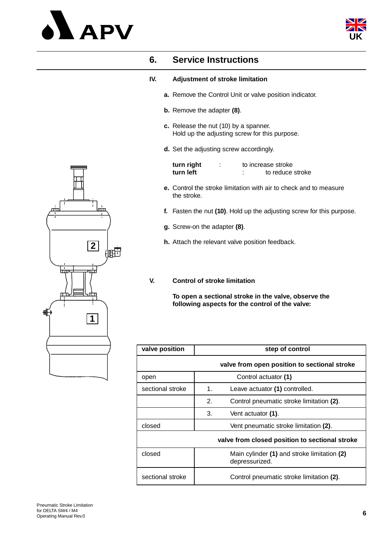



## **6. Service Instructions**

#### **IV. Adjustment of stroke limitation**

- **a.** Remove the Control Unit or valve position indicator.
- **b.** Remove the adapter **(8)**.
- **c.** Release the nut (10) by a spanner. Hold up the adjusting screw for this purpose.
- **d.** Set the adjusting screw accordingly.

| turn right |  | to increase stroke |
|------------|--|--------------------|
| turn left  |  | to reduce stroke   |

- **e.** Control the stroke limitation with air to check and to measure the stroke.
- **f.** Fasten the nut **(10)**. Hold up the adjusting screw for this purpose.
- **g.** Screw-on the adapter **(8)**.
- **h.** Attach the relevant valve position feedback.
- **V. Control of stroke limitation**

**To open a sectional stroke in the valve, observe the following aspects for the control of the valve:**

| valve position   | step of control                                               |
|------------------|---------------------------------------------------------------|
|                  | valve from open position to sectional stroke                  |
| open             | Control actuator (1)                                          |
| sectional stroke | 1 <sub>1</sub><br>Leave actuator (1) controlled.              |
|                  | 2.<br>Control pneumatic stroke limitation (2).                |
|                  | 3.<br>Vent actuator (1).                                      |
| closed           | Vent pneumatic stroke limitation (2).                         |
|                  | valve from closed position to sectional stroke                |
| closed           | Main cylinder (1) and stroke limitation (2)<br>depressurized. |
| sectional stroke | Control pneumatic stroke limitation (2).                      |

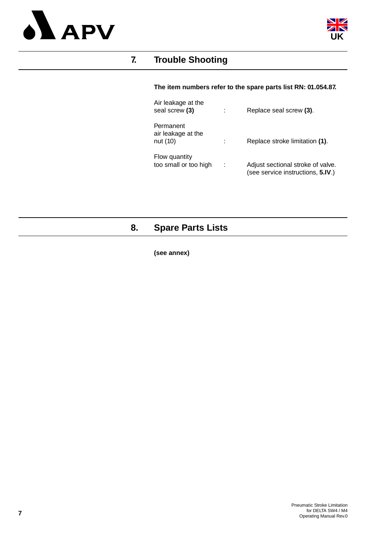



## **7. Trouble Shooting**

#### **The item numbers refer to the spare parts list RN: 01.054.87.**

| Air leakage at the<br>seal screw (3)        | Replace seal screw (3).                                                |
|---------------------------------------------|------------------------------------------------------------------------|
| Permanent<br>air leakage at the<br>nut (10) | Replace stroke limitation (1).                                         |
| Flow quantity<br>too small or too high      | Adjust sectional stroke of valve.<br>(see service instructions, 5.IV.) |

## **8. Spare Parts Lists**

**(see annex)**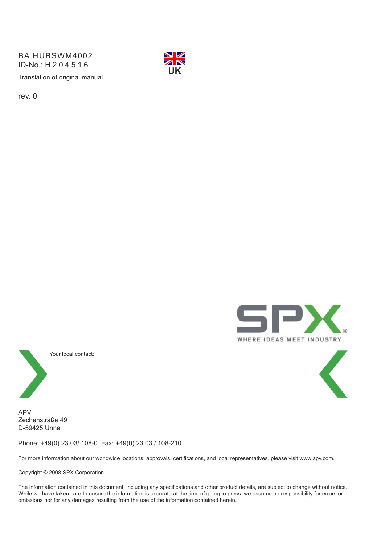BA HUBSWM4002 ID-No.: H204516



rev. 0





APV Zechenstraße 49 D-59425 Unna

Phone: +49(0) 23 03/ 108-0 Fax: +49(0) 23 03 / 108-210

For more information about our worldwide locations, approvals, certifications, and local representatives, please visit www.apv.com.

Copyright © 2008 SPX Corporation

The information contained in this document, including any specifications and other product details, are subject to change without notice. While we have taken care to ensure the information is accurate at the time of going to press, we assume no responsibility for errors or omissions nor for any damages resulting from the use of the information contained herein.



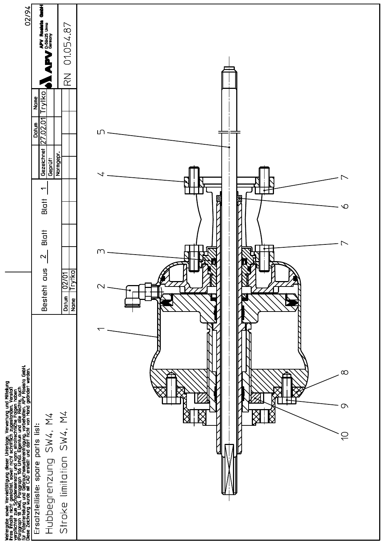